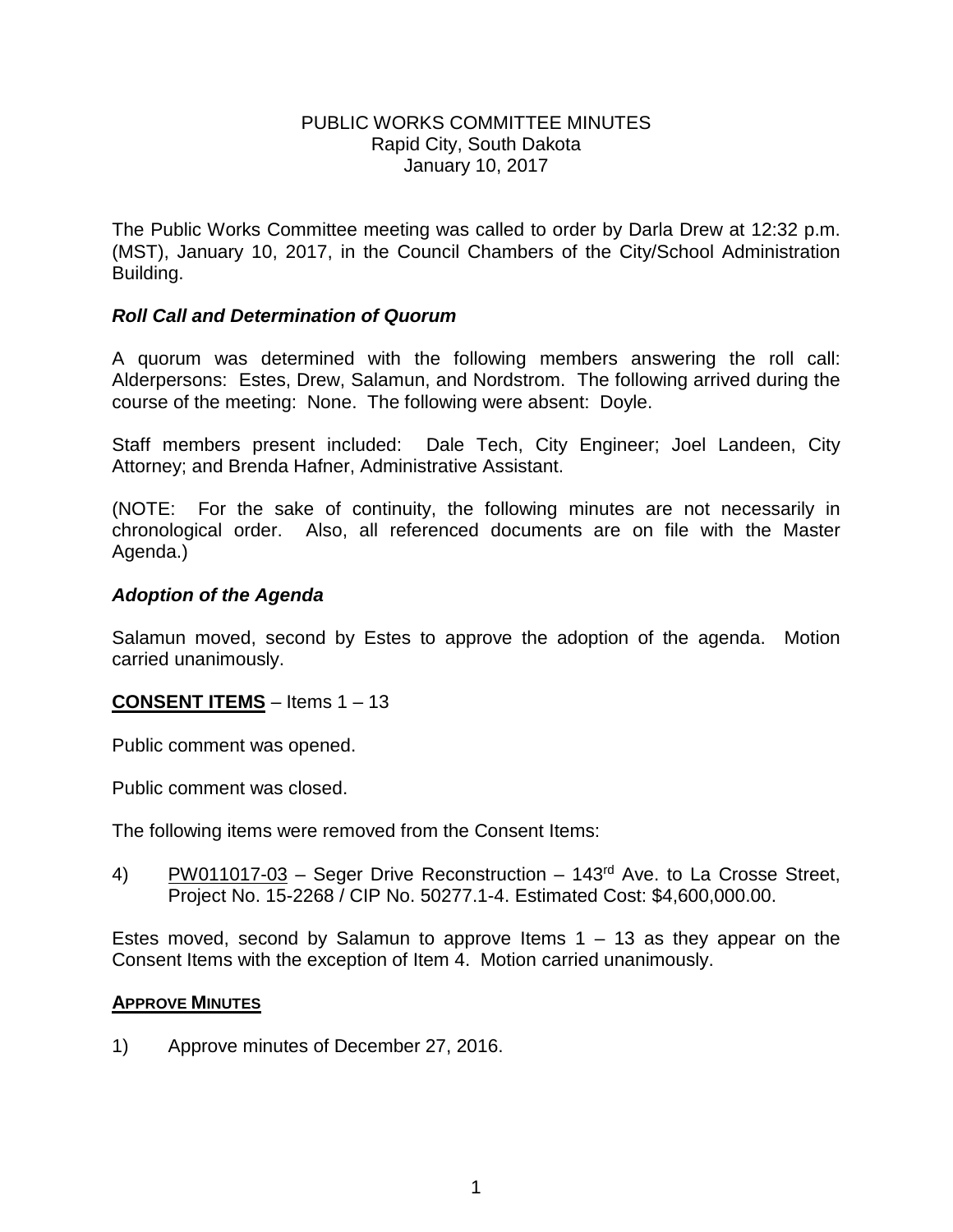## PUBLIC WORKS COMMITTEE MINUTES Rapid City, South Dakota January 10, 2017

The Public Works Committee meeting was called to order by Darla Drew at 12:32 p.m. (MST), January 10, 2017, in the Council Chambers of the City/School Administration Building.

## *Roll Call and Determination of Quorum*

A quorum was determined with the following members answering the roll call: Alderpersons: Estes, Drew, Salamun, and Nordstrom. The following arrived during the course of the meeting: None. The following were absent: Doyle.

Staff members present included: Dale Tech, City Engineer; Joel Landeen, City Attorney; and Brenda Hafner, Administrative Assistant.

(NOTE: For the sake of continuity, the following minutes are not necessarily in chronological order. Also, all referenced documents are on file with the Master Agenda.)

## *Adoption of the Agenda*

Salamun moved, second by Estes to approve the adoption of the agenda. Motion carried unanimously.

# **CONSENT ITEMS** – Items 1 – 13

Public comment was opened.

Public comment was closed.

The following items were removed from the Consent Items:

4) PW011017-03 – Seger Drive Reconstruction – 143rd Ave. to La Crosse Street, Project No. 15-2268 / CIP No. 50277.1-4. Estimated Cost: \$4,600,000.00.

Estes moved, second by Salamun to approve Items  $1 - 13$  as they appear on the Consent Items with the exception of Item 4. Motion carried unanimously.

#### **APPROVE MINUTES**

1) Approve minutes of December 27, 2016.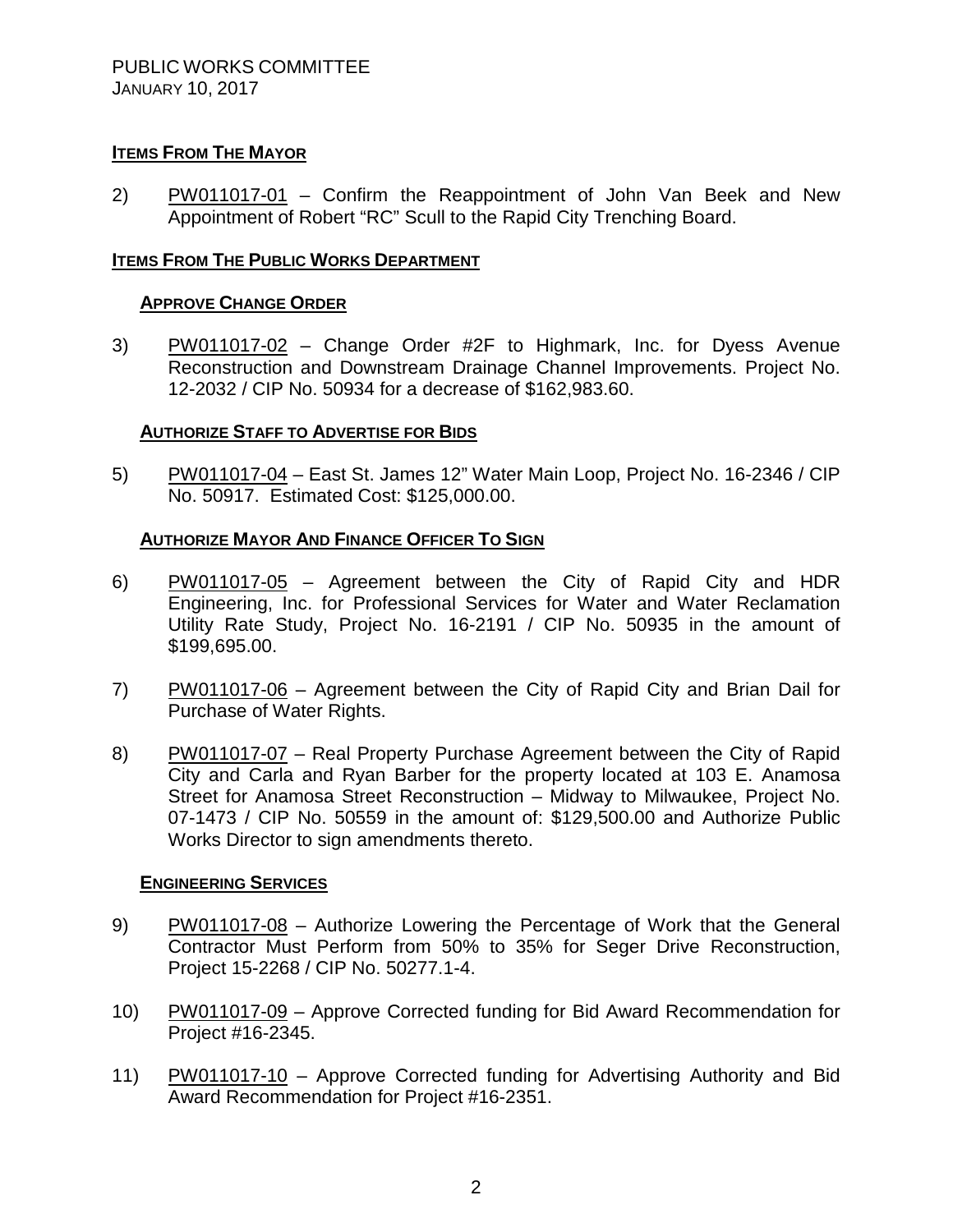# **ITEMS FROM THE MAYOR**

2) PW011017-01 – Confirm the Reappointment of John Van Beek and New Appointment of Robert "RC" Scull to the Rapid City Trenching Board.

## **ITEMS FROM THE PUBLIC WORKS DEPARTMENT**

#### **APPROVE CHANGE ORDER**

3) PW011017-02 – Change Order #2F to Highmark, Inc. for Dyess Avenue Reconstruction and Downstream Drainage Channel Improvements. Project No. 12-2032 / CIP No. 50934 for a decrease of \$162,983.60.

## **AUTHORIZE STAFF TO ADVERTISE FOR BIDS**

5) PW011017-04 – East St. James 12" Water Main Loop, Project No. 16-2346 / CIP No. 50917. Estimated Cost: \$125,000.00.

#### **AUTHORIZE MAYOR AND FINANCE OFFICER TO SIGN**

- 6) PW011017-05 Agreement between the City of Rapid City and HDR Engineering, Inc. for Professional Services for Water and Water Reclamation Utility Rate Study, Project No. 16-2191 / CIP No. 50935 in the amount of \$199,695.00.
- 7) PW011017-06 Agreement between the City of Rapid City and Brian Dail for Purchase of Water Rights.
- 8) PW011017-07 Real Property Purchase Agreement between the City of Rapid City and Carla and Ryan Barber for the property located at 103 E. Anamosa Street for Anamosa Street Reconstruction – Midway to Milwaukee, Project No. 07-1473 / CIP No. 50559 in the amount of: \$129,500.00 and Authorize Public Works Director to sign amendments thereto.

#### **ENGINEERING SERVICES**

- 9) PW011017-08 Authorize Lowering the Percentage of Work that the General Contractor Must Perform from 50% to 35% for Seger Drive Reconstruction, Project 15-2268 / CIP No. 50277.1-4.
- 10) PW011017-09 Approve Corrected funding for Bid Award Recommendation for Project #16-2345.
- 11) PW011017-10 Approve Corrected funding for Advertising Authority and Bid Award Recommendation for Project #16-2351.